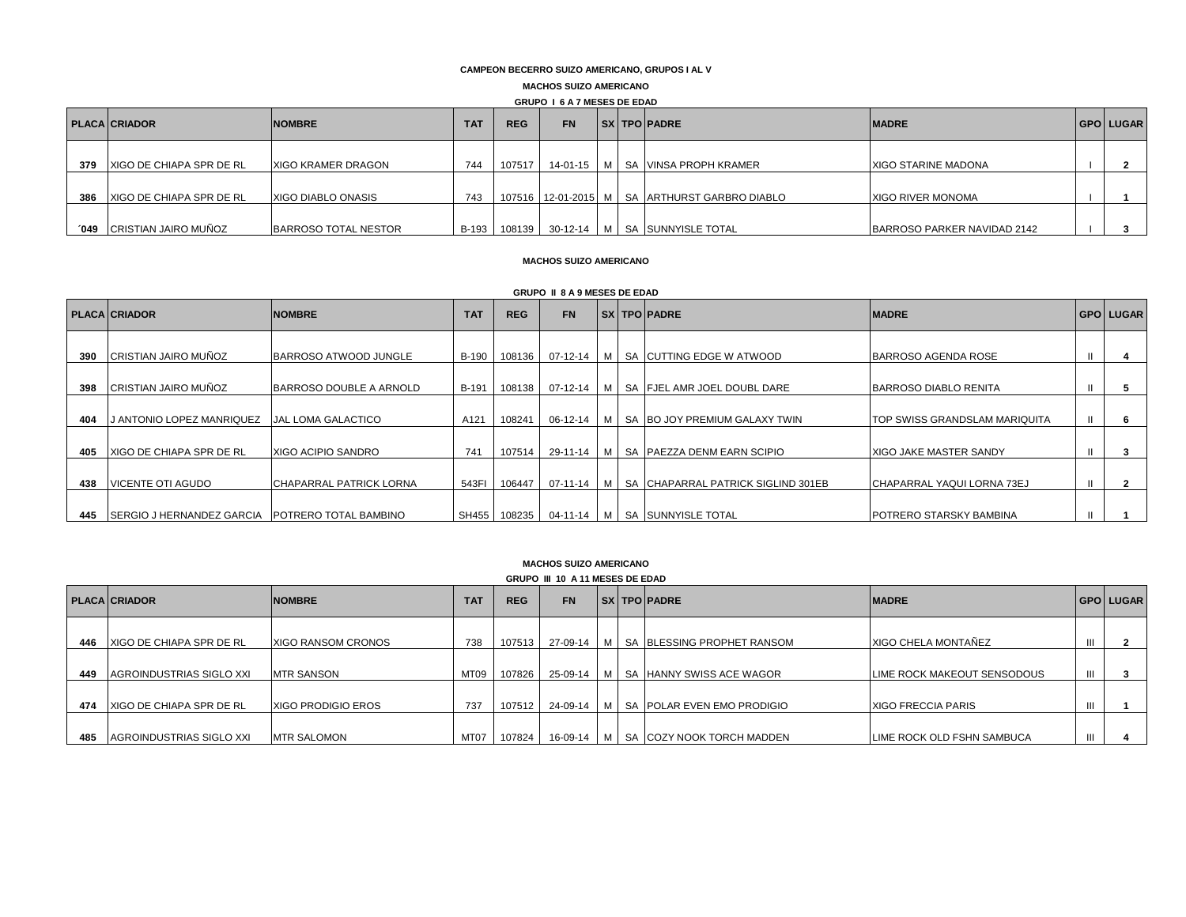# **CAMPEON BECERRO SUIZO AMERICANO, GRUPOS I AL V**

### **MACHOS SUIZO AMERICANO**

### **GRUPO I 6 A 7 MESES DE EDAD**

|     | <b>PLACA CRIADOR</b>            | <b>NOMBRE</b>        | <b>TAT</b>   | <b>REG</b> | <b>FN</b> |  |  | <b>SXITPO PADRE</b>                                   | <b>IMADRE</b>               | I GPO I LUGAR |
|-----|---------------------------------|----------------------|--------------|------------|-----------|--|--|-------------------------------------------------------|-----------------------------|---------------|
| 379 | <b>XIGO DE CHIAPA SPR DE RL</b> | XIGO KRAMER DRAGON   | 744          | 107517 I   |           |  |  | 14-01-15   M   SA   VINSA PROPH KRAMER                | <b>XIGO STARINE MADONA</b>  |               |
| 386 | <b>XIGO DE CHIAPA SPR DE RL</b> | XIGO DIABLO ONASIS   | 743          |            |           |  |  | 107516   12-01-2015   M   SA   ARTHURST GARBRO DIABLO | <b>XIGO RIVER MONOMA</b>    |               |
| 049 | CRISTIAN JAIRO MUÑOZ            | BARROSO TOTAL NESTOR | <b>B-193</b> |            |           |  |  | 108139 30-12-14   M   SA SUNNYISLE TOTAL              | BARROSO PARKER NAVIDAD 2142 |               |

### **MACHOS SUIZO AMERICANO**

### **GRUPO II 8 A 9 MESES DE EDAD**

|     | <b>PLACA CRIADOR</b>                            | <b>NOMBRE</b>                  | <b>TAT</b>   | <b>REG</b> | <b>FN</b>    |  | <b>SXITPO PADRE</b>                          | <b>IMADRE</b>                        | <b>GPO LUGAR</b> |
|-----|-------------------------------------------------|--------------------------------|--------------|------------|--------------|--|----------------------------------------------|--------------------------------------|------------------|
|     |                                                 |                                |              |            |              |  |                                              |                                      |                  |
| 390 | CRISTIAN JAIRO MUÑOZ                            | BARROSO ATWOOD JUNGLE          | <b>B-190</b> | 108136     |              |  | 07-12-14   M   SA CUTTING EDGE W ATWOOD      | BARROSO AGENDA ROSE                  |                  |
| 398 | CRISTIAN JAIRO MUÑOZ                            | BARROSO DOUBLE A ARNOLD        | B-191        | 108138     |              |  | 07-12-14   M   SA   FJEL AMR JOEL DOUBL DARE | BARROSO DIABLO RENITA                |                  |
| 404 | <b>J ANTONIO LOPEZ MANRIQUEZ</b>                | <b>JAL LOMA GALACTICO</b>      | A121         | 108241     |              |  | 06-12-14   M   SA BO JOY PREMIUM GALAXY TWIN | <b>TOP SWISS GRANDSLAM MARIQUITA</b> |                  |
|     |                                                 |                                |              |            |              |  |                                              |                                      |                  |
| 405 | XIGO DE CHIAPA SPR DE RL                        | XIGO ACIPIO SANDRO             | 741          | 107514     |              |  | 29-11-14   M   SA   PAEZZA DENM EARN SCIPIO  | <b>IXIGO JAKE MASTER SANDY</b>       |                  |
| 438 | VICENTE OTI AGUDO                               | <b>CHAPARRAL PATRICK LORNA</b> | 543FI        | 106447     | $07-11-14$ M |  | SA CHAPARRAL PATRICK SIGLIND 301EB           | ICHAPARRAL YAQUI LORNA 73EJ          |                  |
| 445 | SERGIO J HERNANDEZ GARCIA POTRERO TOTAL BAMBINO |                                | SH455 I      |            |              |  | 108235   04-11-14   M   SA SUNNYISLE TOTAL   | POTRERO STARSKY BAMBINA              |                  |

### **MACHOS SUIZO AMERICANO**

| <b>GRUPO III 10 A 11 MESES DE EDAD</b> |                                 |                           |            |            |            |  |  |                                             |                             |                  |
|----------------------------------------|---------------------------------|---------------------------|------------|------------|------------|--|--|---------------------------------------------|-----------------------------|------------------|
|                                        | <b>PLACA CRIADOR</b>            | <b>NOMBRE</b>             | <b>TAT</b> | <b>REG</b> | <b>FN</b>  |  |  | <b>SX TPO PADRE</b>                         | <b>MADRE</b>                | <b>GPO LUGAR</b> |
| 446                                    | <b>XIGO DE CHIAPA SPR DE RL</b> | <b>XIGO RANSOM CRONOS</b> | 738        | 107513     |            |  |  | 27-09-14   M   SA BLESSING PROPHET RANSOM   | XIGO CHELA MONTAÑEZ         |                  |
| 449                                    | AGROINDUSTRIAS SIGLO XXI        | <b>MTR SANSON</b>         | MT09       | 107826     | 25-09-14 M |  |  | SA HANNY SWISS ACE WAGOR                    | LIME ROCK MAKEOUT SENSODOUS |                  |
| 474                                    | XIGO DE CHIAPA SPR DE RL        | <b>XIGO PRODIGIO EROS</b> | 737        | 107512     |            |  |  | 24-09-14   M   SA   POLAR EVEN EMO PRODIGIO | <b>XIGO FRECCIA PARIS</b>   |                  |
| 485                                    | AGROINDUSTRIAS SIGLO XXI        | <b>IMTR SALOMON</b>       | MT07       | 107824     |            |  |  | 16-09-14   M   SA COZY NOOK TORCH MADDEN    | LIME ROCK OLD FSHN SAMBUCA  |                  |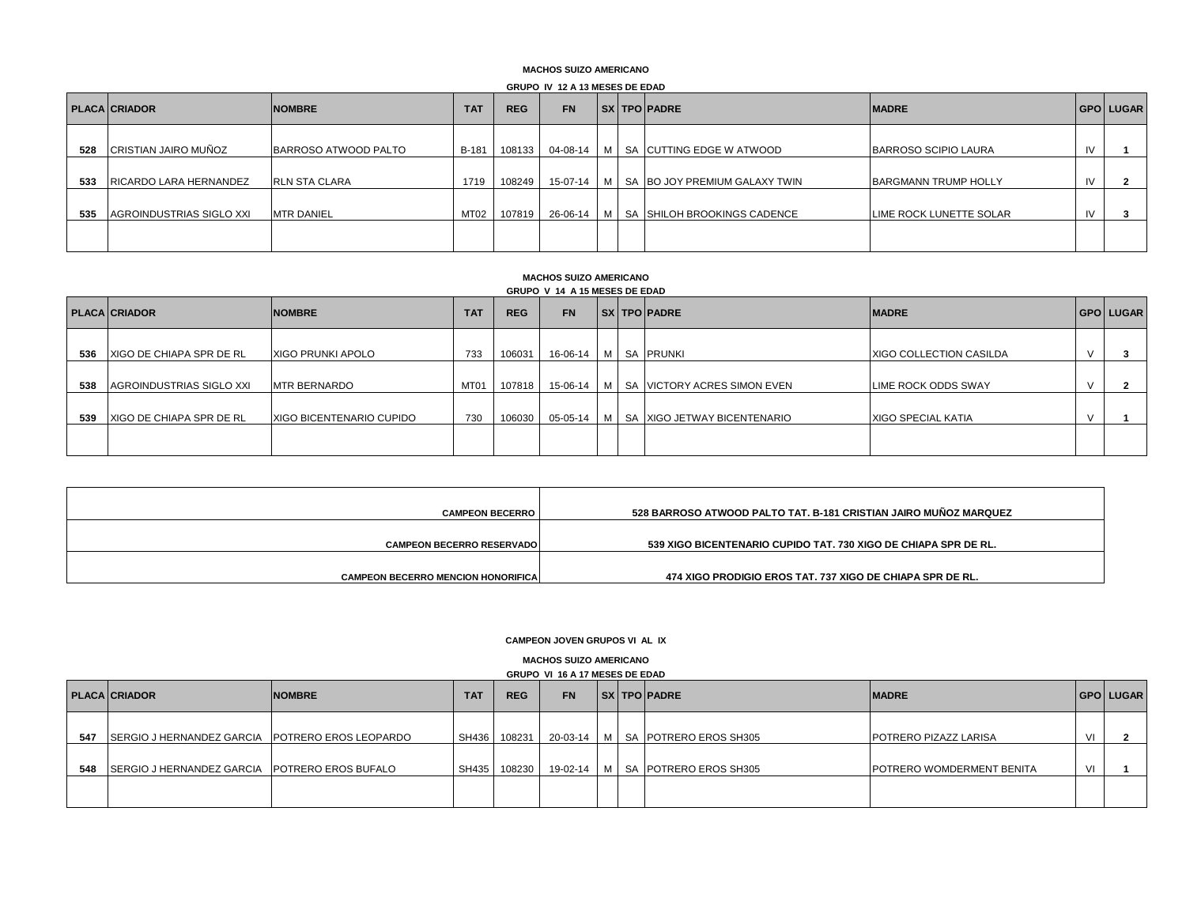### **MACHOS SUIZO AMERICANO**

### **GRUPO IV 12 A 13 MESES DE EDAD**

|     | <b>PLACA CRIADOR</b>        | <b>NOMBRE</b>        | <b>TAT</b> | <b>REG</b> | <b>FN</b> |                | <b>SXITPO PADRE</b>             | <b>IMADRE</b>           |    | <b>GPO LUGAR</b> |
|-----|-----------------------------|----------------------|------------|------------|-----------|----------------|---------------------------------|-------------------------|----|------------------|
| 528 | <b>CRISTIAN JAIRO MUÑOZ</b> | BARROSO ATWOOD PALTO | B-181      | 108133     | 04-08-14  | M <sub>1</sub> | SA CUTTING EDGE W ATWOOD        | BARROSO SCIPIO LAURA    | 1V |                  |
| 533 | RICARDO LARA HERNANDEZ      | <b>RLN STA CLARA</b> | 1719       | 108249     | 15-07-14  |                | M SA BO JOY PREMIUM GALAXY TWIN | BARGMANN TRUMP HOLLY    |    |                  |
| 535 | AGROINDUSTRIAS SIGLO XXI    | <b>MTR DANIEL</b>    | MT02       | 107819     | 26-06-14  | M <sub>1</sub> | SA SHILOH BROOKINGS CADENCE     | LIME ROCK LUNETTE SOLAR |    |                  |
|     |                             |                      |            |            |           |                |                                 |                         |    |                  |

#### **MACHOS SUIZO AMERICANO GRUPO V 14 A 15 MESES DE EDAD**

|     | <b>PLACA CRIADOR</b>     | <b>NOMBRE</b>             | <b>TAT</b> | <b>REG</b> | <b>FN</b>                  |  | <b>SXITPO PADRE</b>                          | <b>MADRE</b>              | <b>GPO LUGAR</b> |
|-----|--------------------------|---------------------------|------------|------------|----------------------------|--|----------------------------------------------|---------------------------|------------------|
| 536 | XIGO DE CHIAPA SPR DE RL | XIGO PRUNKI APOLO         | 733        | 106031     | 16-06-14   M   SA   PRUNKI |  |                                              | XIGO COLLECTION CASILDA   |                  |
| 538 | AGROINDUSTRIAS SIGLO XXI | <b>MTR BERNARDO</b>       | MT01       | 107818     | 15-06-14 M                 |  | SA VICTORY ACRES SIMON EVEN                  | LIME ROCK ODDS SWAY       |                  |
| 539 | XIGO DE CHIAPA SPR DE RL | IXIGO BICENTENARIO CUPIDO | 730        | 106030     |                            |  | 05-05-14   M   SA   XIGO JETWAY BICENTENARIO | <b>XIGO SPECIAL KATIA</b> |                  |
|     |                          |                           |            |            |                            |  |                                              |                           |                  |

| <b>CAMPEON BECERRO  </b>                   | 528 BARROSO ATWOOD PALTO TAT. B-181 CRISTIAN JAIRO MUNOZ MARQUEZ |
|--------------------------------------------|------------------------------------------------------------------|
| <b>CAMPEON BECERRO RESERVADOI</b>          | 539 XIGO BICENTENARIO CUPIDO TAT. 730 XIGO DE CHIAPA SPR DE RL.  |
| <b>CAMPEON BECERRO MENCION HONORIFICAL</b> | 474 XIGO PRODIGIO EROS TAT. 737 XIGO DE CHIAPA SPR DE RL.        |

### **CAMPEON JOVEN GRUPOS VI AL IX**

**MACHOS SUIZO AMERICANO**

|     |                                                 |               |            |              | <b>GRUPO VI 16 A 17 MESES DE EDAD</b> |  |                                        |                                  |                  |
|-----|-------------------------------------------------|---------------|------------|--------------|---------------------------------------|--|----------------------------------------|----------------------------------|------------------|
|     | <b>PLACA CRIADOR</b>                            | <b>NOMBRE</b> | <b>TAT</b> | <b>REG</b>   | <b>FN</b>                             |  | <b>SX TPO PADRE</b>                    | <b>IMADRE</b>                    | <b>GPO LUGAR</b> |
| 547 | SERGIO J HERNANDEZ GARCIA POTRERO EROS LEOPARDO |               |            | SH436 108231 |                                       |  | 20-03-14   M   SA   POTRERO EROS SH305 | <b>POTRERO PIZAZZ LARISA</b>     |                  |
| 548 | SERGIO J HERNANDEZ GARCIA POTRERO EROS BUFALO   |               |            | SH435 108230 |                                       |  | 19-02-14   M   SA POTRERO EROS SH305   | <b>POTRERO WOMDERMENT BENITA</b> |                  |
|     |                                                 |               |            |              |                                       |  |                                        |                                  |                  |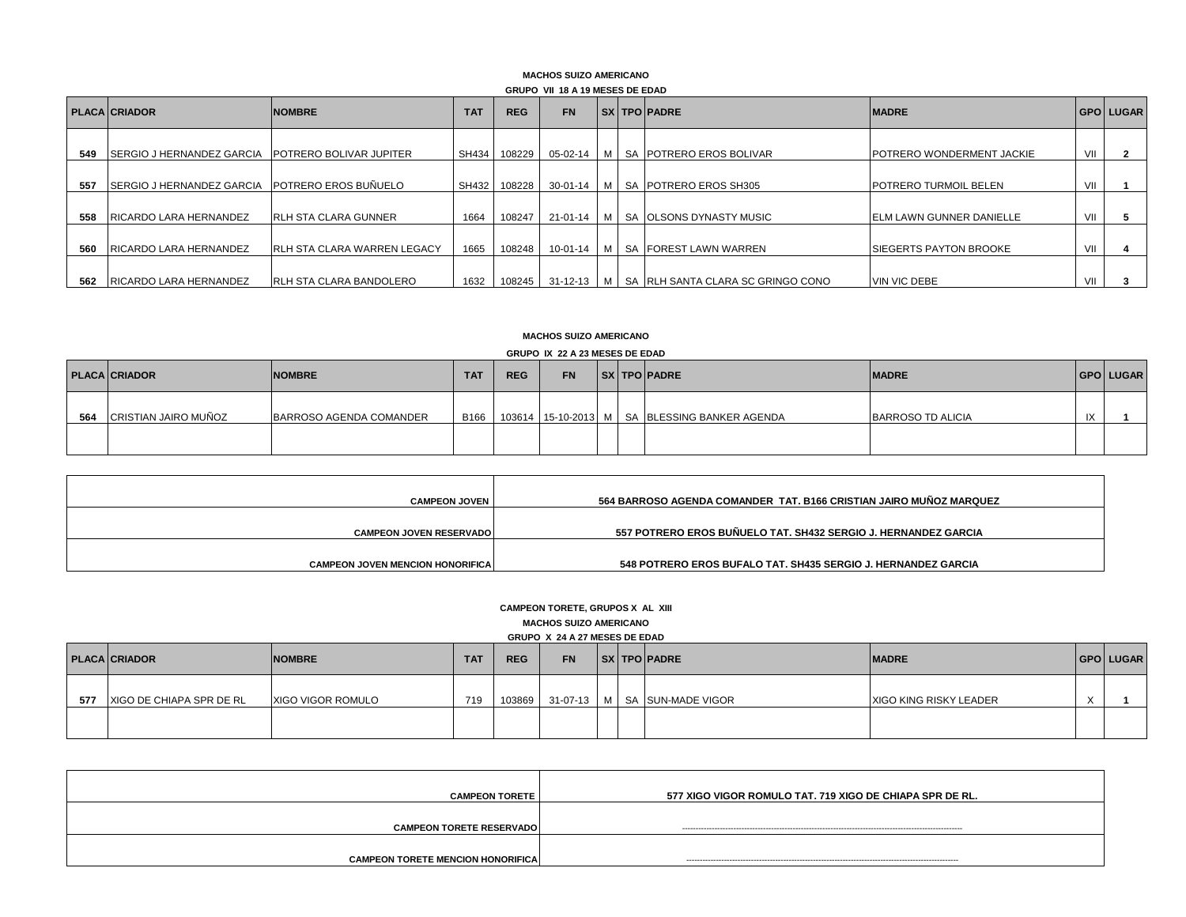### **GRUPO VII 18 A 19 MESES DE EDAD MACHOS SUIZO AMERICANO**

|     | GRUFU VII 10 A 13 MESES DE EDAD  |                                    |            |            |           |  |  |                                                    |                                  |     |                  |
|-----|----------------------------------|------------------------------------|------------|------------|-----------|--|--|----------------------------------------------------|----------------------------------|-----|------------------|
|     | <b>PLACA CRIADOR</b>             | <b>NOMBRE</b>                      | <b>TAT</b> | <b>REG</b> | <b>FN</b> |  |  | <b>SXITPO PADRE</b>                                | <b>IMADRE</b>                    |     | <b>GPO LUGAR</b> |
| 549 | <b>SERGIO J HERNANDEZ GARCIA</b> | <b>POTRERO BOLIVAR JUPITER</b>     | SH434      | 108229     |           |  |  | 05-02-14   M   SA   POTRERO EROS BOLIVAR           | <b>POTRERO WONDERMENT JACKIE</b> | VII |                  |
| 557 | <b>SERGIO J HERNANDEZ GARCIA</b> | POTRERO EROS BUÑUELO               | SH432      | 108228     |           |  |  | 30-01-14   M   SA   POTRERO EROS SH305             | <b>POTRERO TURMOIL BELEN</b>     | VII |                  |
| 558 | RICARDO LARA HERNANDEZ           | <b>RLH STA CLARA GUNNER</b>        | 1664       | 108247     |           |  |  | 21-01-14   M   SA   OLSONS DYNASTY MUSIC           | <b>IELM LAWN GUNNER DANIELLE</b> | VII |                  |
| 560 | RICARDO LARA HERNANDEZ           | <b>RLH STA CLARA WARREN LEGACY</b> | 1665       | 108248     |           |  |  | 10-01-14 M   SA   FOREST LAWN WARREN               | <b>ISIEGERTS PAYTON BROOKE</b>   | VII |                  |
| 562 | <b>IRICARDO LARA HERNANDEZ</b>   | <b>RLH STA CLARA BANDOLERO</b>     | 1632       | 108245 I   |           |  |  | 31-12-13   M   SA   RLH SANTA CLARA SC GRINGO CONO | VIN VIC DEBE                     | VII |                  |

# **MACHOS SUIZO AMERICANO**

# **GRUPO IX 22 A 23 MESES DE EDAD**

|     | <b>PLACA CRIADOR</b> | <b>NOMBRE</b>           | <b>TAT</b> | <b>REG</b> | <b>FN</b> |  | <b>SX TPO PADRE</b>                           | <b>IMADRE</b>     |              | <b>GPO LUGAR</b> |
|-----|----------------------|-------------------------|------------|------------|-----------|--|-----------------------------------------------|-------------------|--------------|------------------|
| 564 | CRISTIAN JAIRO MUÑOZ | BARROSO AGENDA COMANDER | B166       |            |           |  | 103614 15-10-2013 M SA BLESSING BANKER AGENDA | BARROSO TD ALICIA | $\mathbf{N}$ |                  |
|     |                      |                         |            |            |           |  |                                               |                   |              |                  |

| <b>CAMPEON JOVEN</b>                    | 564 BARROSO AGENDA COMANDER TAT. B166 CRISTIAN JAIRO MUÑOZ MARQUEZ |
|-----------------------------------------|--------------------------------------------------------------------|
|                                         |                                                                    |
| <b>CAMPEON JOVEN RESERVADOL</b>         | 557 POTRERO EROS BUÑUELO TAT. SH432 SERGIO J. HERNANDEZ GARCIA     |
|                                         |                                                                    |
| <b>CAMPEON JOVEN MENCION HONORIFICA</b> | 548 POTRERO EROS BUFALO TAT. SH435 SERGIO J. HERNANDEZ GARCIA      |

# **CAMPEON TORETE, GRUPOS X AL XIII MACHOS SUIZO AMERICANO GRUPO X 24 A 27 MESES DE EDAD**

|     | <b>PLACA CRIADOR</b>     | <b>NOMBRE</b>     | <b>TAT</b> | <b>REG</b> | <b>FN</b> |  | <b>SX TPO PADRE</b>          | <b>MADRE</b>           | <b>GPO LUGAR</b> |
|-----|--------------------------|-------------------|------------|------------|-----------|--|------------------------------|------------------------|------------------|
| 577 | XIGO DE CHIAPA SPR DE RL | XIGO VIGOR ROMULO | 719        | 103869     |           |  | 31-07-13 M SA SUN-MADE VIGOR | XIGO KING RISKY LEADER |                  |
|     |                          |                   |            |            |           |  |                              |                        |                  |

| <b>CAMPEON TORETE</b>                    | 577 XIGO VIGOR ROMULO TAT. 719 XIGO DE CHIAPA SPR DE RL. |
|------------------------------------------|----------------------------------------------------------|
| <b>CAMPEON TORETE RESERVADO</b>          |                                                          |
| <b>CAMPEON TORETE MENCION HONORIFICA</b> |                                                          |